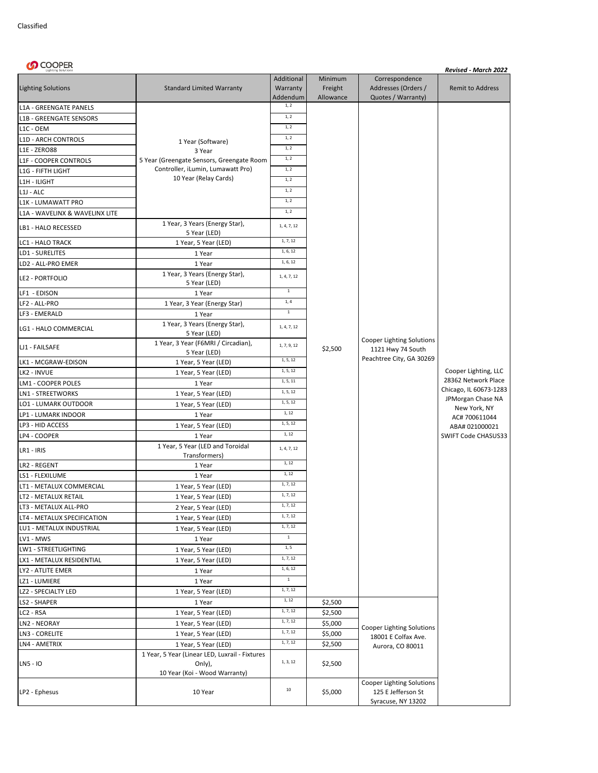| <b><i>S</i></b> COOPER         |                                                     |                                    |                                 |                                                                             | Revised - March 2022              |
|--------------------------------|-----------------------------------------------------|------------------------------------|---------------------------------|-----------------------------------------------------------------------------|-----------------------------------|
| <b>Lighting Solutions</b>      | <b>Standard Limited Warranty</b>                    | Additional<br>Warranty<br>Addendum | Minimum<br>Freight<br>Allowance | Correspondence<br>Addresses (Orders /<br>Quotes / Warranty)                 | <b>Remit to Address</b>           |
| L1A - GREENGATE PANELS         |                                                     | 1, 2                               |                                 |                                                                             |                                   |
| L1B - GREENGATE SENSORS        |                                                     | 1, 2                               |                                 |                                                                             |                                   |
| L1C - OEM                      |                                                     | 1, 2                               |                                 |                                                                             |                                   |
| L1D - ARCH CONTROLS            |                                                     | 1, 2                               |                                 |                                                                             |                                   |
| <b>L1E - ZERO88</b>            | 1 Year (Software)<br>3 Year                         | 1, 2                               |                                 |                                                                             |                                   |
| L1F - COOPER CONTROLS          | 5 Year (Greengate Sensors, Greengate Room           | 1, 2                               |                                 |                                                                             |                                   |
| L1G - FIFTH LIGHT              | Controller, iLumin, Lumawatt Pro)                   | 1, 2                               |                                 |                                                                             |                                   |
| L1H - ILIGHT                   | 10 Year (Relay Cards)                               | 1, 2                               |                                 |                                                                             |                                   |
| $L1J - ALC$                    |                                                     | $1, 2$                             |                                 |                                                                             |                                   |
| L1K - LUMAWATT PRO             |                                                     | 1, 2                               |                                 |                                                                             |                                   |
| L1A - WAVELINX & WAVELINX LITE |                                                     | 1, 2                               |                                 |                                                                             |                                   |
| LB1 - HALO RECESSED            | 1 Year, 3 Years (Energy Star),                      | 1, 4, 7, 12                        |                                 |                                                                             |                                   |
| LC1 - HALO TRACK               | 5 Year (LED)<br>1 Year, 5 Year (LED)                | 1, 7, 12                           |                                 |                                                                             |                                   |
| LD1 - SURELITES                | 1 Year                                              | 1, 6, 12                           |                                 |                                                                             |                                   |
| LD2 - ALL-PRO EMER             | 1 Year                                              | 1, 6, 12                           |                                 |                                                                             |                                   |
|                                | 1 Year, 3 Years (Energy Star),                      |                                    |                                 |                                                                             |                                   |
| LE2 - PORTFOLIO                | 5 Year (LED)                                        | 1, 4, 7, 12                        |                                 |                                                                             |                                   |
| LF1 - EDISON                   | 1 Year                                              | $1\,$                              |                                 |                                                                             |                                   |
| LF2 - ALL-PRO                  | 1 Year, 3 Year (Energy Star)                        | 1, 4                               |                                 |                                                                             |                                   |
| LF3 - EMERALD                  | 1 Year                                              | $1\,$                              |                                 |                                                                             |                                   |
| LG1 - HALO COMMERCIAL          | 1 Year, 3 Years (Energy Star),<br>5 Year (LED)      | 1, 4, 7, 12                        |                                 | Cooper Lighting Solutions<br>1121 Hwy 74 South                              | Cooper Lighting, LLC              |
| LJ1 - FAILSAFE                 | 1 Year, 3 Year (F6MRI / Circadian),<br>5 Year (LED) | 1, 7, 9, 12                        | \$2,500                         |                                                                             |                                   |
| LK1 - MCGRAW-EDISON            | 1 Year, 5 Year (LED)                                | 1, 5, 12                           |                                 | Peachtree City, GA 30269                                                    |                                   |
| LK2 - INVUE                    | 1 Year, 5 Year (LED)                                | 1, 5, 12                           |                                 |                                                                             |                                   |
| LM1 - COOPER POLES             | 1 Year                                              | 1, 5, 11                           |                                 |                                                                             | 28362 Network Place               |
| LN1 - STREETWORKS              | 1 Year, 5 Year (LED)                                | 1, 5, 12                           |                                 |                                                                             | Chicago, IL 60673-1283            |
| LO1 - LUMARK OUTDOOR           | 1 Year, 5 Year (LED)                                | 1, 5, 12                           |                                 |                                                                             | JPMorgan Chase NA<br>New York, NY |
| LP1 - LUMARK INDOOR            | 1 Year                                              | 1, 12                              |                                 |                                                                             | AC# 700611044                     |
| LP3 - HID ACCESS               | 1 Year, 5 Year (LED)                                | 1, 5, 12                           |                                 |                                                                             | ABA# 021000021                    |
| LP4 - COOPER                   | 1 Year                                              | 1, 12                              |                                 |                                                                             | SWIFT Code CHASUS33               |
| LR1 - IRIS                     | 1 Year, 5 Year (LED and Toroidal<br>Transformers)   | 1, 4, 7, 12                        |                                 |                                                                             |                                   |
| LR2 - REGENT                   | 1 Year                                              | 1, 12                              |                                 |                                                                             |                                   |
| LS1 - FLEXILUME                | 1 Year                                              | 1, 12                              |                                 |                                                                             |                                   |
| LT1 - METALUX COMMERCIAL       | 1 Year, 5 Year (LED)                                | 1, 7, 12                           |                                 |                                                                             |                                   |
| LT2 - METALUX RETAIL           | 1 Year, 5 Year (LED)                                | 1, 7, 12                           |                                 |                                                                             |                                   |
| LT3 - METALUX ALL-PRO          | 2 Year, 5 Year (LED)                                | 1, 7, 12                           |                                 |                                                                             |                                   |
| LT4 - METALUX SPECIFICATION    | 1 Year, 5 Year (LED)                                | 1, 7, 12                           |                                 |                                                                             |                                   |
| LU1 - METALUX INDUSTRIAL       | 1 Year, 5 Year (LED)                                | 1, 7, 12                           |                                 |                                                                             |                                   |
| LV1 - MWS                      | 1 Year                                              | $\,$ 1 $\,$                        |                                 |                                                                             |                                   |
| LW1 - STREETLIGHTING           | 1 Year, 5 Year (LED)                                | 1, 5                               |                                 |                                                                             |                                   |
| LX1 - METALUX RESIDENTIAL      | 1 Year, 5 Year (LED)                                | 1, 7, 12                           |                                 |                                                                             |                                   |
| LY2 - ATLITE EMER              | 1 Year                                              | 1, 6, 12                           |                                 |                                                                             |                                   |
| LZ1 - LUMIERE                  | 1 Year                                              | $1\,$                              |                                 |                                                                             |                                   |
| LZ2 - SPECIALTY LED            | 1 Year, 5 Year (LED)                                | 1, 7, 12                           |                                 |                                                                             |                                   |
| LS2 - SHAPER                   | 1 Year                                              | 1, 12                              | \$2,500                         |                                                                             |                                   |
| LC2 - RSA                      | 1 Year, 5 Year (LED)                                | 1, 7, 12                           | \$2,500                         | <b>Cooper Lighting Solutions</b><br>18001 E Colfax Ave.<br>Aurora, CO 80011 |                                   |
| LN2 - NEORAY                   | 1 Year, 5 Year (LED)                                | 1, 7, 12                           | \$5,000                         |                                                                             |                                   |
| LN3 - CORELITE                 | 1 Year, 5 Year (LED)                                | 1, 7, 12                           | \$5,000                         |                                                                             |                                   |
| LN4 - AMETRIX                  | 1 Year, 5 Year (LED)                                | 1, 7, 12                           | \$2,500                         |                                                                             |                                   |
|                                | 1 Year, 5 Year (Linear LED, Luxrail - Fixtures      |                                    |                                 |                                                                             |                                   |
| LN5 - IO                       | Only),<br>10 Year (Koi - Wood Warranty)             | 1, 3, 12                           | \$2,500                         |                                                                             |                                   |
| LP2 - Ephesus                  | 10 Year                                             | $10\,$                             | \$5,000                         | Cooper Lighting Solutions<br>125 E Jefferson St<br>Syracuse, NY 13202       |                                   |